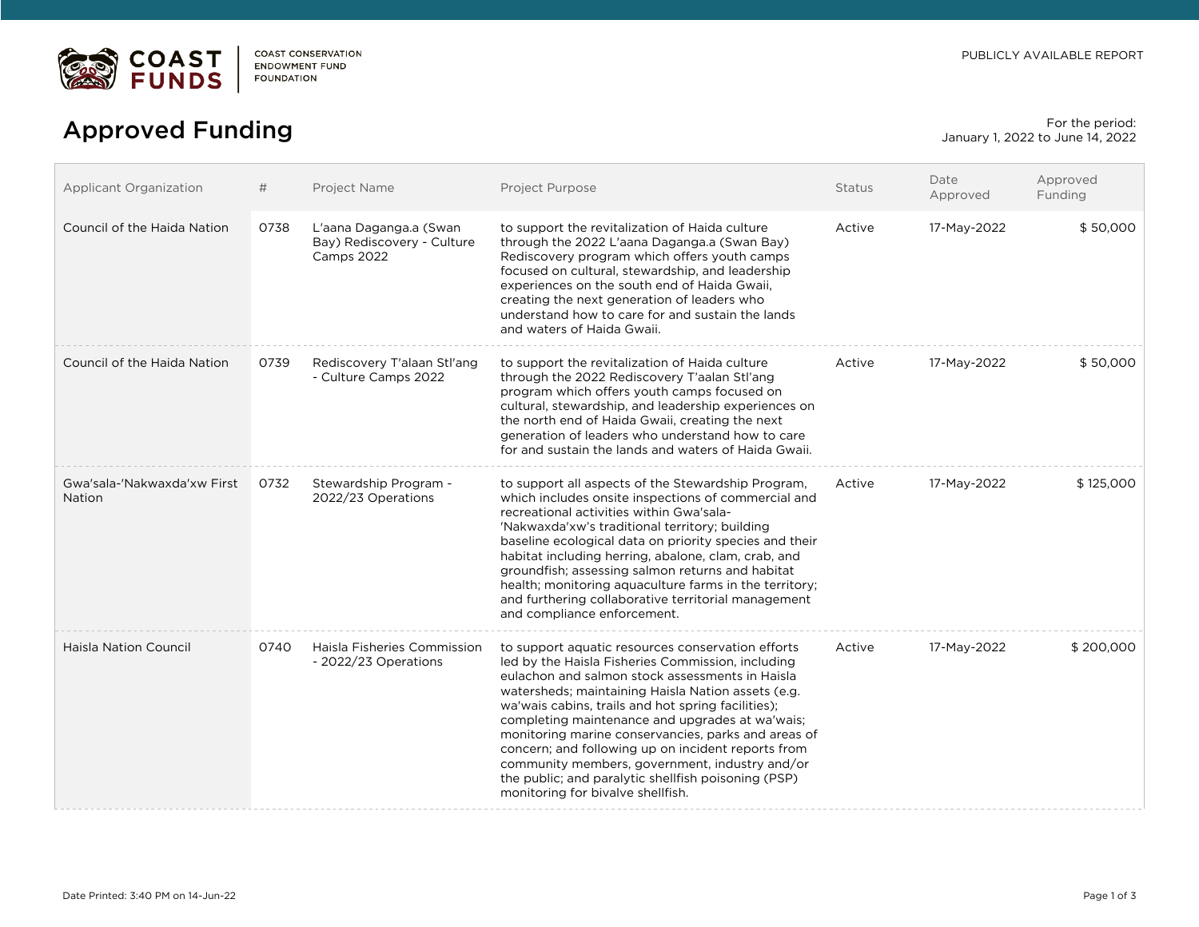

## For the period:<br>  $\Delta$ pproved Funding For the period: anuary 1, 2022 to June 14, 2022

January 1, 2022 to June 14, 2022

| <b>Applicant Organization</b>         | #    | Project Name                                                       | Project Purpose                                                                                                                                                                                                                                                                                                                                                                                                                                                                                                                                                                     | <b>Status</b> | Date<br>Approved | Approved<br>Funding |
|---------------------------------------|------|--------------------------------------------------------------------|-------------------------------------------------------------------------------------------------------------------------------------------------------------------------------------------------------------------------------------------------------------------------------------------------------------------------------------------------------------------------------------------------------------------------------------------------------------------------------------------------------------------------------------------------------------------------------------|---------------|------------------|---------------------|
| Council of the Haida Nation           | 0738 | L'aana Daganga.a (Swan<br>Bay) Rediscovery - Culture<br>Camps 2022 | to support the revitalization of Haida culture<br>through the 2022 L'aana Daganga.a (Swan Bay)<br>Rediscovery program which offers youth camps<br>focused on cultural, stewardship, and leadership<br>experiences on the south end of Haida Gwaii,<br>creating the next generation of leaders who<br>understand how to care for and sustain the lands<br>and waters of Haida Gwaii.                                                                                                                                                                                                 | Active        | 17-May-2022      | \$50,000            |
| Council of the Haida Nation           | 0739 | Rediscovery T'alaan Stl'ang<br>- Culture Camps 2022                | to support the revitalization of Haida culture<br>through the 2022 Rediscovery T'aalan Stl'ang<br>program which offers youth camps focused on<br>cultural, stewardship, and leadership experiences on<br>the north end of Haida Gwaii, creating the next<br>generation of leaders who understand how to care<br>for and sustain the lands and waters of Haida Gwaii.                                                                                                                                                                                                                | Active        | 17-May-2022      | \$50,000            |
| Gwa'sala-'Nakwaxda'xw First<br>Nation | 0732 | Stewardship Program -<br>2022/23 Operations                        | to support all aspects of the Stewardship Program,<br>which includes onsite inspections of commercial and<br>recreational activities within Gwa'sala-<br>'Nakwaxda'xw's traditional territory; building<br>baseline ecological data on priority species and their<br>habitat including herring, abalone, clam, crab, and<br>groundfish; assessing salmon returns and habitat<br>health; monitoring aquaculture farms in the territory;<br>and furthering collaborative territorial management<br>and compliance enforcement.                                                        | Active        | 17-May-2022      | \$125,000           |
| <b>Haisla Nation Council</b>          | 0740 | Haisla Fisheries Commission<br>- 2022/23 Operations                | to support aquatic resources conservation efforts<br>led by the Haisla Fisheries Commission, including<br>eulachon and salmon stock assessments in Haisla<br>watersheds; maintaining Haisla Nation assets (e.g.<br>wa'wais cabins, trails and hot spring facilities);<br>completing maintenance and upgrades at wa'wais;<br>monitoring marine conservancies, parks and areas of<br>concern; and following up on incident reports from<br>community members, government, industry and/or<br>the public; and paralytic shellfish poisoning (PSP)<br>monitoring for bivalve shellfish. | Active        | 17-May-2022      | \$200,000           |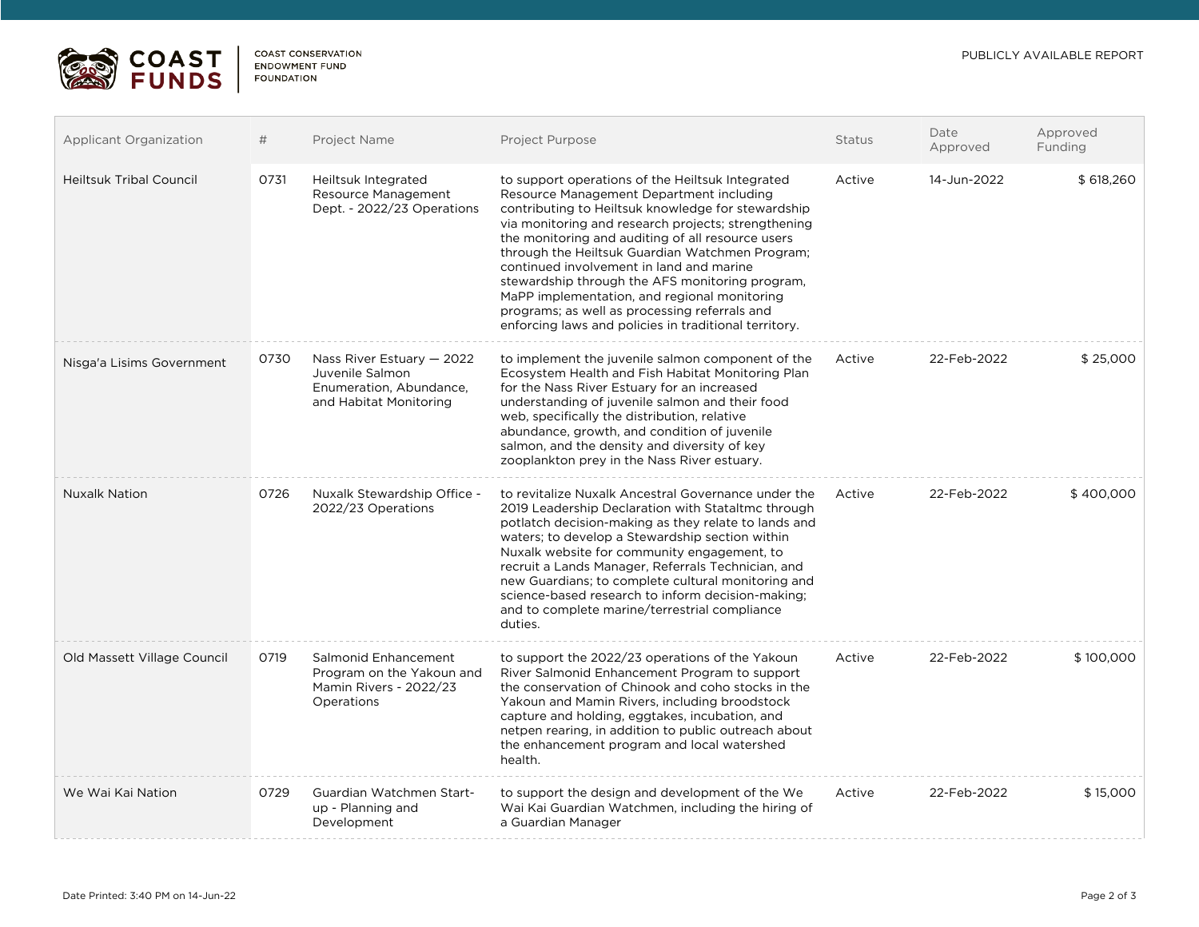## PUBLICLY AVAILABLE REPORT



**COAST CONSERVATION** ENDOWMENT FUND **FOUNDATION** 

| Applicant Organization         | #    | <b>Project Name</b>                                                                                | <b>Project Purpose</b>                                                                                                                                                                                                                                                                                                                                                                                                                                                                                                                                                     | <b>Status</b> | Date<br>Approved | Approved<br>Funding |
|--------------------------------|------|----------------------------------------------------------------------------------------------------|----------------------------------------------------------------------------------------------------------------------------------------------------------------------------------------------------------------------------------------------------------------------------------------------------------------------------------------------------------------------------------------------------------------------------------------------------------------------------------------------------------------------------------------------------------------------------|---------------|------------------|---------------------|
| <b>Heiltsuk Tribal Council</b> | 0731 | Heiltsuk Integrated<br>Resource Management<br>Dept. - 2022/23 Operations                           | to support operations of the Heiltsuk Integrated<br>Resource Management Department including<br>contributing to Heiltsuk knowledge for stewardship<br>via monitoring and research projects; strengthening<br>the monitoring and auditing of all resource users<br>through the Heiltsuk Guardian Watchmen Program;<br>continued involvement in land and marine<br>stewardship through the AFS monitoring program,<br>MaPP implementation, and regional monitoring<br>programs; as well as processing referrals and<br>enforcing laws and policies in traditional territory. | Active        | 14-Jun-2022      | \$618,260           |
| Nisga'a Lisims Government      | 0730 | Nass River Estuary $-2022$<br>Juvenile Salmon<br>Enumeration, Abundance,<br>and Habitat Monitoring | to implement the juvenile salmon component of the<br>Ecosystem Health and Fish Habitat Monitoring Plan<br>for the Nass River Estuary for an increased<br>understanding of juvenile salmon and their food<br>web, specifically the distribution, relative<br>abundance, growth, and condition of juvenile<br>salmon, and the density and diversity of key<br>zooplankton prey in the Nass River estuary.                                                                                                                                                                    | Active        | 22-Feb-2022      | \$25,000            |
| <b>Nuxalk Nation</b>           | 0726 | Nuxalk Stewardship Office -<br>2022/23 Operations                                                  | to revitalize Nuxalk Ancestral Governance under the<br>2019 Leadership Declaration with Stataltmc through<br>potlatch decision-making as they relate to lands and<br>waters; to develop a Stewardship section within<br>Nuxalk website for community engagement, to<br>recruit a Lands Manager, Referrals Technician, and<br>new Guardians; to complete cultural monitoring and<br>science-based research to inform decision-making;<br>and to complete marine/terrestrial compliance<br>duties.                                                                           | Active        | 22-Feb-2022      | \$400,000           |
| Old Massett Village Council    | 0719 | Salmonid Enhancement<br>Program on the Yakoun and<br>Mamin Rivers - 2022/23<br>Operations          | to support the 2022/23 operations of the Yakoun<br>River Salmonid Enhancement Program to support<br>the conservation of Chinook and coho stocks in the<br>Yakoun and Mamin Rivers, including broodstock<br>capture and holding, eggtakes, incubation, and<br>netpen rearing, in addition to public outreach about<br>the enhancement program and local watershed<br>health.                                                                                                                                                                                                | Active        | 22-Feb-2022      | \$100,000           |
| We Wai Kai Nation              | 0729 | Guardian Watchmen Start-<br>up - Planning and<br>Development                                       | to support the design and development of the We<br>Wai Kai Guardian Watchmen, including the hiring of<br>a Guardian Manager                                                                                                                                                                                                                                                                                                                                                                                                                                                | Active        | 22-Feb-2022      | \$15,000            |